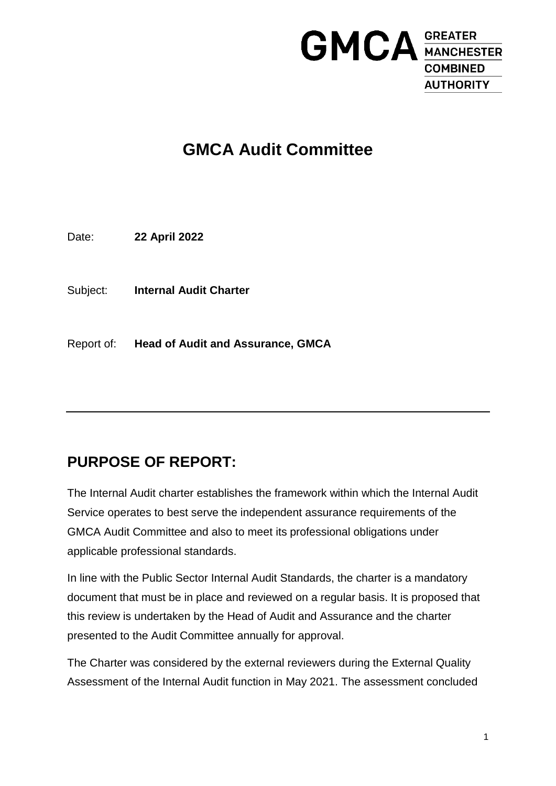

# **GMCA Audit Committee**

Date: **22 April 2022**

Subject: **Internal Audit Charter**

Report of: **Head of Audit and Assurance, GMCA**

## **PURPOSE OF REPORT:**

The Internal Audit charter establishes the framework within which the Internal Audit Service operates to best serve the independent assurance requirements of the GMCA Audit Committee and also to meet its professional obligations under applicable professional standards.

In line with the Public Sector Internal Audit Standards, the charter is a mandatory document that must be in place and reviewed on a regular basis. It is proposed that this review is undertaken by the Head of Audit and Assurance and the charter presented to the Audit Committee annually for approval.

The Charter was considered by the external reviewers during the External Quality Assessment of the Internal Audit function in May 2021. The assessment concluded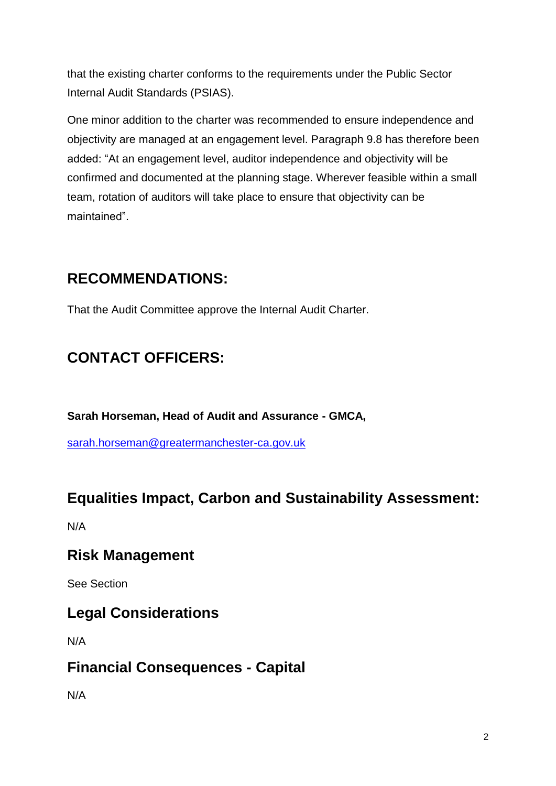that the existing charter conforms to the requirements under the Public Sector Internal Audit Standards (PSIAS).

One minor addition to the charter was recommended to ensure independence and objectivity are managed at an engagement level. Paragraph 9.8 has therefore been added: "At an engagement level, auditor independence and objectivity will be confirmed and documented at the planning stage. Wherever feasible within a small team, rotation of auditors will take place to ensure that objectivity can be maintained".

## **RECOMMENDATIONS:**

That the Audit Committee approve the Internal Audit Charter.

# **CONTACT OFFICERS:**

**Sarah Horseman, Head of Audit and Assurance - GMCA,** 

[sarah.horseman@greatermanchester-ca.gov.uk](mailto:sarah.horseman@greatermanchester-ca.gov.uk)

## **Equalities Impact, Carbon and Sustainability Assessment:**

N/A

## **Risk Management**

See Section

## **Legal Considerations**

N/A

## **Financial Consequences - Capital**

N/A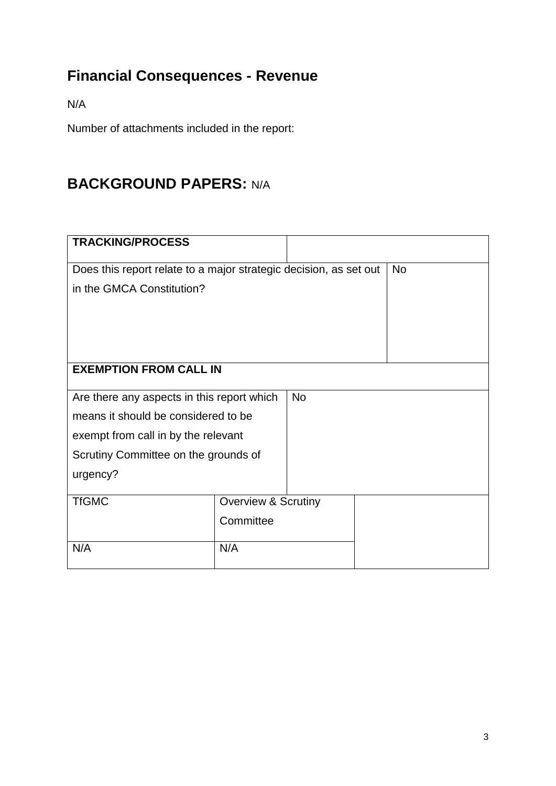# **Financial Consequences - Revenue**

N/A

Number of attachments included in the report:

# **BACKGROUND PAPERS:** N/A

| <b>TRACKING/PROCESS</b>                                           |                                |           |           |
|-------------------------------------------------------------------|--------------------------------|-----------|-----------|
|                                                                   |                                |           |           |
| Does this report relate to a major strategic decision, as set out |                                |           | <b>No</b> |
| in the GMCA Constitution?                                         |                                |           |           |
|                                                                   |                                |           |           |
|                                                                   |                                |           |           |
|                                                                   |                                |           |           |
|                                                                   |                                |           |           |
| <b>EXEMPTION FROM CALL IN</b>                                     |                                |           |           |
|                                                                   |                                |           |           |
| Are there any aspects in this report which                        |                                | <b>No</b> |           |
| means it should be considered to be                               |                                |           |           |
| exempt from call in by the relevant                               |                                |           |           |
| Scrutiny Committee on the grounds of                              |                                |           |           |
| urgency?                                                          |                                |           |           |
|                                                                   |                                |           |           |
| <b>TfGMC</b>                                                      | <b>Overview &amp; Scrutiny</b> |           |           |
|                                                                   | Committee                      |           |           |
|                                                                   |                                |           |           |
| N/A                                                               | N/A                            |           |           |
|                                                                   |                                |           |           |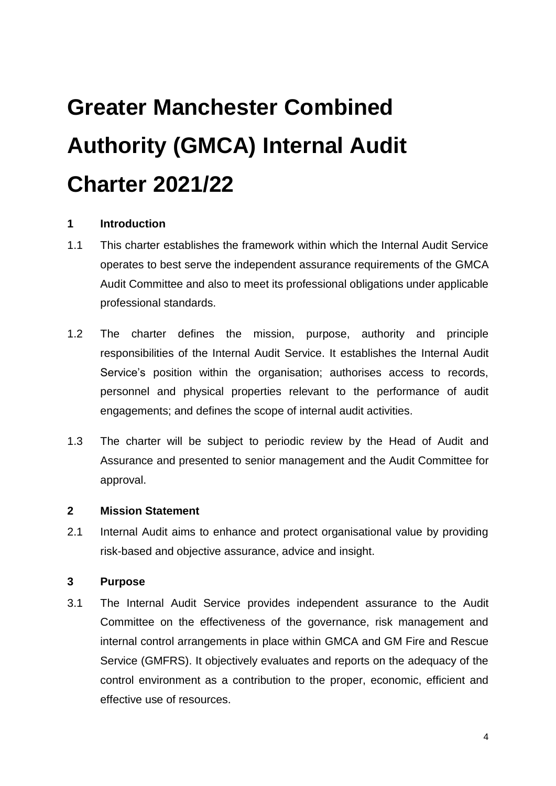# **Greater Manchester Combined Authority (GMCA) Internal Audit Charter 2021/22**

#### **1 Introduction**

- 1.1 This charter establishes the framework within which the Internal Audit Service operates to best serve the independent assurance requirements of the GMCA Audit Committee and also to meet its professional obligations under applicable professional standards.
- 1.2 The charter defines the mission, purpose, authority and principle responsibilities of the Internal Audit Service. It establishes the Internal Audit Service's position within the organisation; authorises access to records, personnel and physical properties relevant to the performance of audit engagements; and defines the scope of internal audit activities.
- 1.3 The charter will be subject to periodic review by the Head of Audit and Assurance and presented to senior management and the Audit Committee for approval.

#### **2 Mission Statement**

2.1 Internal Audit aims to enhance and protect organisational value by providing risk-based and objective assurance, advice and insight.

#### **3 Purpose**

3.1 The Internal Audit Service provides independent assurance to the Audit Committee on the effectiveness of the governance, risk management and internal control arrangements in place within GMCA and GM Fire and Rescue Service (GMFRS). It objectively evaluates and reports on the adequacy of the control environment as a contribution to the proper, economic, efficient and effective use of resources.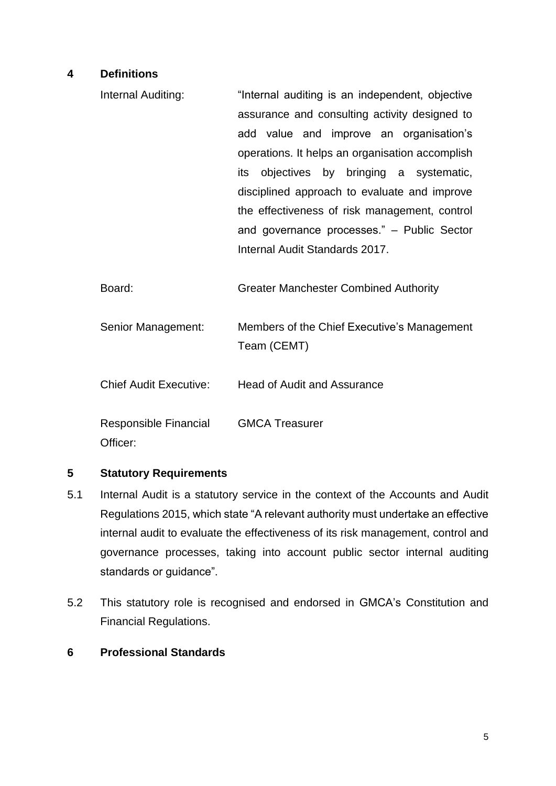#### **4 Definitions**

- Internal Auditing: "Internal auditing is an independent, objective assurance and consulting activity designed to add value and improve an organisation's operations. It helps an organisation accomplish its objectives by bringing a systematic, disciplined approach to evaluate and improve the effectiveness of risk management, control and governance processes." – Public Sector Internal Audit Standards 2017.
- Board: Greater Manchester Combined Authority
- Senior Management: Members of the Chief Executive's Management Team (CEMT)
- Chief Audit Executive: Head of Audit and Assurance

Responsible Financial Officer: GMCA Treasurer

#### **5 Statutory Requirements**

- 5.1 Internal Audit is a statutory service in the context of the Accounts and Audit Regulations 2015, which state "A relevant authority must undertake an effective internal audit to evaluate the effectiveness of its risk management, control and governance processes, taking into account public sector internal auditing standards or guidance".
- 5.2 This statutory role is recognised and endorsed in GMCA's Constitution and Financial Regulations.

#### **6 Professional Standards**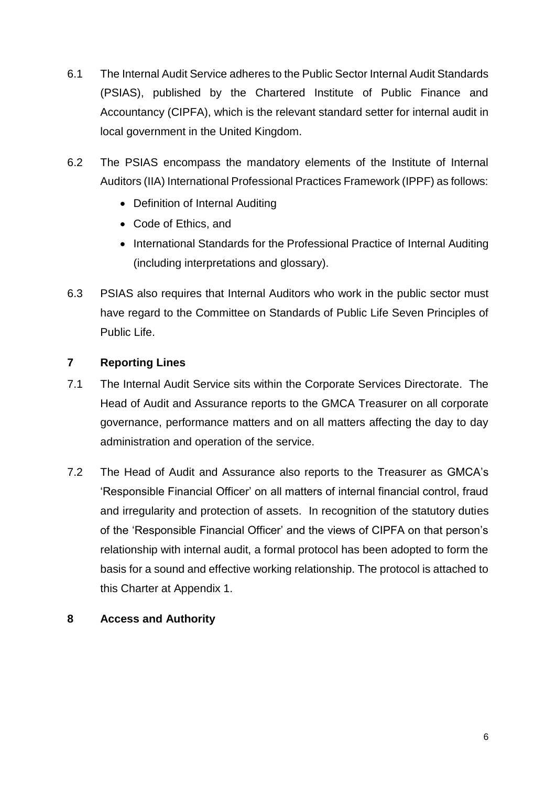- 6.1 The Internal Audit Service adheres to the Public Sector Internal Audit Standards (PSIAS), published by the Chartered Institute of Public Finance and Accountancy (CIPFA), which is the relevant standard setter for internal audit in local government in the United Kingdom.
- 6.2 The PSIAS encompass the mandatory elements of the Institute of Internal Auditors (IIA) International Professional Practices Framework (IPPF) as follows:
	- Definition of Internal Auditing
	- Code of Ethics, and
	- International Standards for the Professional Practice of Internal Auditing (including interpretations and glossary).
- 6.3 PSIAS also requires that Internal Auditors who work in the public sector must have regard to the Committee on Standards of Public Life Seven Principles of Public Life.

#### **7 Reporting Lines**

- 7.1 The Internal Audit Service sits within the Corporate Services Directorate. The Head of Audit and Assurance reports to the GMCA Treasurer on all corporate governance, performance matters and on all matters affecting the day to day administration and operation of the service.
- 7.2 The Head of Audit and Assurance also reports to the Treasurer as GMCA's 'Responsible Financial Officer' on all matters of internal financial control, fraud and irregularity and protection of assets. In recognition of the statutory duties of the 'Responsible Financial Officer' and the views of CIPFA on that person's relationship with internal audit, a formal protocol has been adopted to form the basis for a sound and effective working relationship. The protocol is attached to this Charter at Appendix 1.

#### **8 Access and Authority**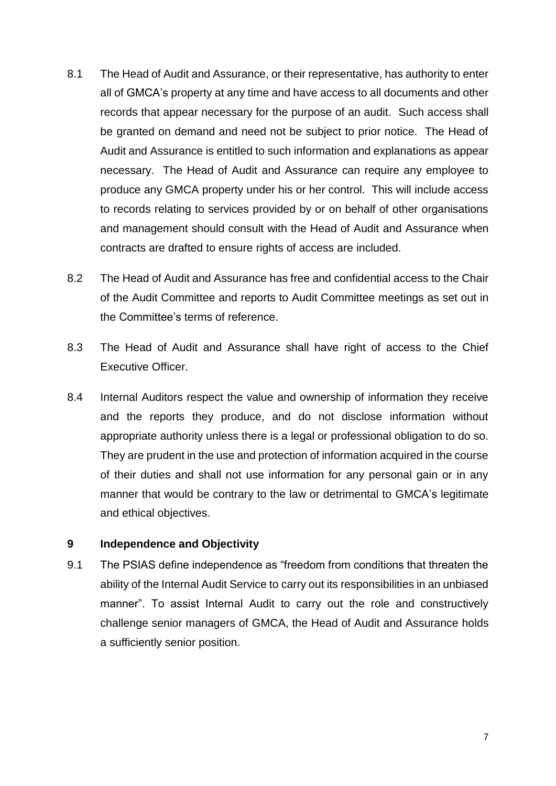- 8.1 The Head of Audit and Assurance, or their representative, has authority to enter all of GMCA's property at any time and have access to all documents and other records that appear necessary for the purpose of an audit. Such access shall be granted on demand and need not be subject to prior notice. The Head of Audit and Assurance is entitled to such information and explanations as appear necessary. The Head of Audit and Assurance can require any employee to produce any GMCA property under his or her control. This will include access to records relating to services provided by or on behalf of other organisations and management should consult with the Head of Audit and Assurance when contracts are drafted to ensure rights of access are included.
- 8.2 The Head of Audit and Assurance has free and confidential access to the Chair of the Audit Committee and reports to Audit Committee meetings as set out in the Committee's terms of reference.
- 8.3 The Head of Audit and Assurance shall have right of access to the Chief Executive Officer.
- 8.4 Internal Auditors respect the value and ownership of information they receive and the reports they produce, and do not disclose information without appropriate authority unless there is a legal or professional obligation to do so. They are prudent in the use and protection of information acquired in the course of their duties and shall not use information for any personal gain or in any manner that would be contrary to the law or detrimental to GMCA's legitimate and ethical objectives.

#### **9 Independence and Objectivity**

9.1 The PSIAS define independence as "freedom from conditions that threaten the ability of the Internal Audit Service to carry out its responsibilities in an unbiased manner". To assist Internal Audit to carry out the role and constructively challenge senior managers of GMCA, the Head of Audit and Assurance holds a sufficiently senior position.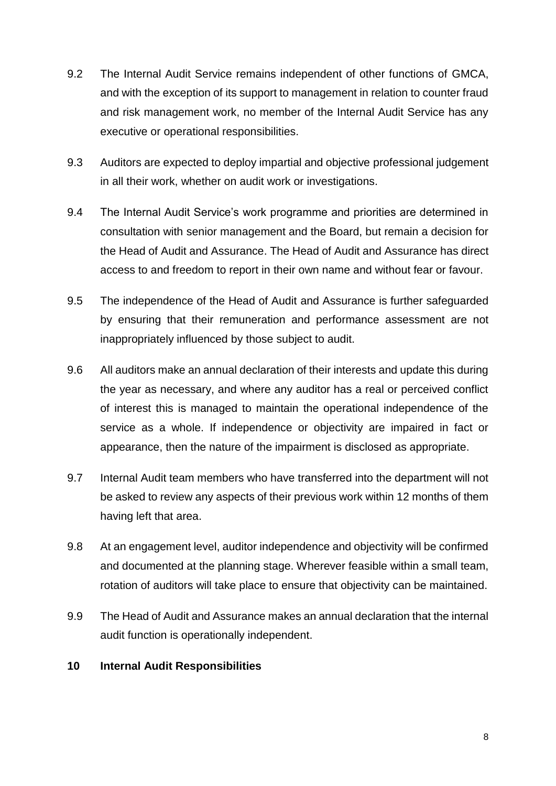- 9.2 The Internal Audit Service remains independent of other functions of GMCA, and with the exception of its support to management in relation to counter fraud and risk management work, no member of the Internal Audit Service has any executive or operational responsibilities.
- 9.3 Auditors are expected to deploy impartial and objective professional judgement in all their work, whether on audit work or investigations.
- 9.4 The Internal Audit Service's work programme and priorities are determined in consultation with senior management and the Board, but remain a decision for the Head of Audit and Assurance. The Head of Audit and Assurance has direct access to and freedom to report in their own name and without fear or favour.
- 9.5 The independence of the Head of Audit and Assurance is further safeguarded by ensuring that their remuneration and performance assessment are not inappropriately influenced by those subject to audit.
- 9.6 All auditors make an annual declaration of their interests and update this during the year as necessary, and where any auditor has a real or perceived conflict of interest this is managed to maintain the operational independence of the service as a whole. If independence or objectivity are impaired in fact or appearance, then the nature of the impairment is disclosed as appropriate.
- 9.7 Internal Audit team members who have transferred into the department will not be asked to review any aspects of their previous work within 12 months of them having left that area.
- 9.8 At an engagement level, auditor independence and objectivity will be confirmed and documented at the planning stage. Wherever feasible within a small team, rotation of auditors will take place to ensure that objectivity can be maintained.
- 9.9 The Head of Audit and Assurance makes an annual declaration that the internal audit function is operationally independent.

#### **10 Internal Audit Responsibilities**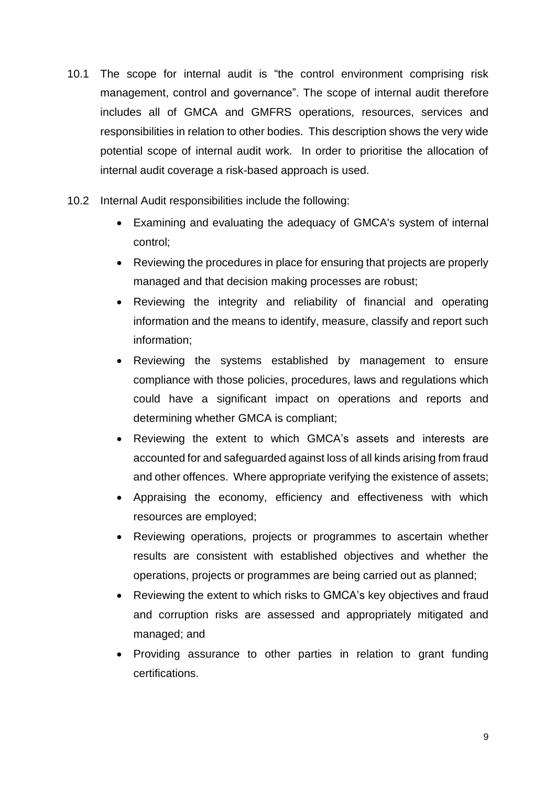- 10.1 The scope for internal audit is "the control environment comprising risk management, control and governance". The scope of internal audit therefore includes all of GMCA and GMFRS operations, resources, services and responsibilities in relation to other bodies. This description shows the very wide potential scope of internal audit work. In order to prioritise the allocation of internal audit coverage a risk-based approach is used.
- 10.2 Internal Audit responsibilities include the following:
	- Examining and evaluating the adequacy of GMCA's system of internal control;
	- Reviewing the procedures in place for ensuring that projects are properly managed and that decision making processes are robust;
	- Reviewing the integrity and reliability of financial and operating information and the means to identify, measure, classify and report such information;
	- Reviewing the systems established by management to ensure compliance with those policies, procedures, laws and regulations which could have a significant impact on operations and reports and determining whether GMCA is compliant;
	- Reviewing the extent to which GMCA's assets and interests are accounted for and safeguarded against loss of all kinds arising from fraud and other offences. Where appropriate verifying the existence of assets;
	- Appraising the economy, efficiency and effectiveness with which resources are employed;
	- Reviewing operations, projects or programmes to ascertain whether results are consistent with established objectives and whether the operations, projects or programmes are being carried out as planned;
	- Reviewing the extent to which risks to GMCA's key objectives and fraud and corruption risks are assessed and appropriately mitigated and managed; and
	- Providing assurance to other parties in relation to grant funding certifications.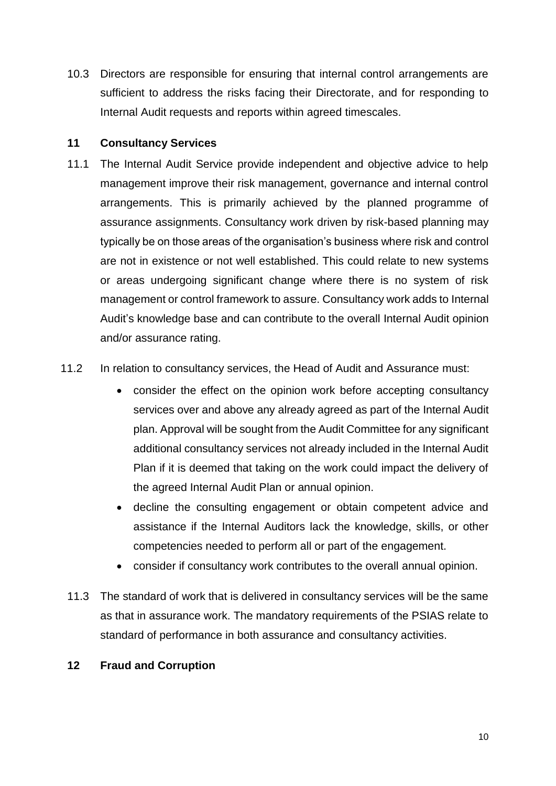10.3 Directors are responsible for ensuring that internal control arrangements are sufficient to address the risks facing their Directorate, and for responding to Internal Audit requests and reports within agreed timescales.

#### **11 Consultancy Services**

- 11.1 The Internal Audit Service provide independent and objective advice to help management improve their risk management, governance and internal control arrangements. This is primarily achieved by the planned programme of assurance assignments. Consultancy work driven by risk-based planning may typically be on those areas of the organisation's business where risk and control are not in existence or not well established. This could relate to new systems or areas undergoing significant change where there is no system of risk management or control framework to assure. Consultancy work adds to Internal Audit's knowledge base and can contribute to the overall Internal Audit opinion and/or assurance rating.
- 11.2 In relation to consultancy services, the Head of Audit and Assurance must:
	- consider the effect on the opinion work before accepting consultancy services over and above any already agreed as part of the Internal Audit plan. Approval will be sought from the Audit Committee for any significant additional consultancy services not already included in the Internal Audit Plan if it is deemed that taking on the work could impact the delivery of the agreed Internal Audit Plan or annual opinion.
	- decline the consulting engagement or obtain competent advice and assistance if the Internal Auditors lack the knowledge, skills, or other competencies needed to perform all or part of the engagement.
	- consider if consultancy work contributes to the overall annual opinion.
	- 11.3 The standard of work that is delivered in consultancy services will be the same as that in assurance work. The mandatory requirements of the PSIAS relate to standard of performance in both assurance and consultancy activities.

#### **12 Fraud and Corruption**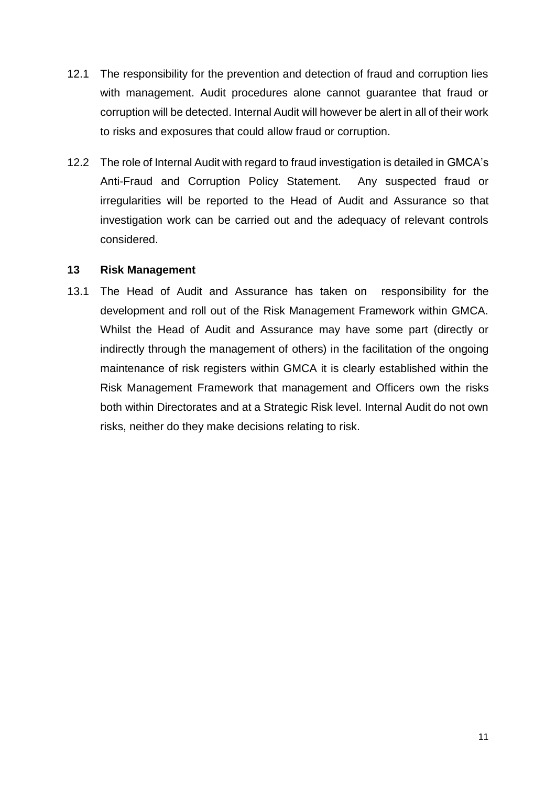- 12.1 The responsibility for the prevention and detection of fraud and corruption lies with management. Audit procedures alone cannot guarantee that fraud or corruption will be detected. Internal Audit will however be alert in all of their work to risks and exposures that could allow fraud or corruption.
- 12.2 The role of Internal Audit with regard to fraud investigation is detailed in GMCA's Anti-Fraud and Corruption Policy Statement. Any suspected fraud or irregularities will be reported to the Head of Audit and Assurance so that investigation work can be carried out and the adequacy of relevant controls considered.

#### **13 Risk Management**

13.1 The Head of Audit and Assurance has taken on responsibility for the development and roll out of the Risk Management Framework within GMCA. Whilst the Head of Audit and Assurance may have some part (directly or indirectly through the management of others) in the facilitation of the ongoing maintenance of risk registers within GMCA it is clearly established within the Risk Management Framework that management and Officers own the risks both within Directorates and at a Strategic Risk level. Internal Audit do not own risks, neither do they make decisions relating to risk.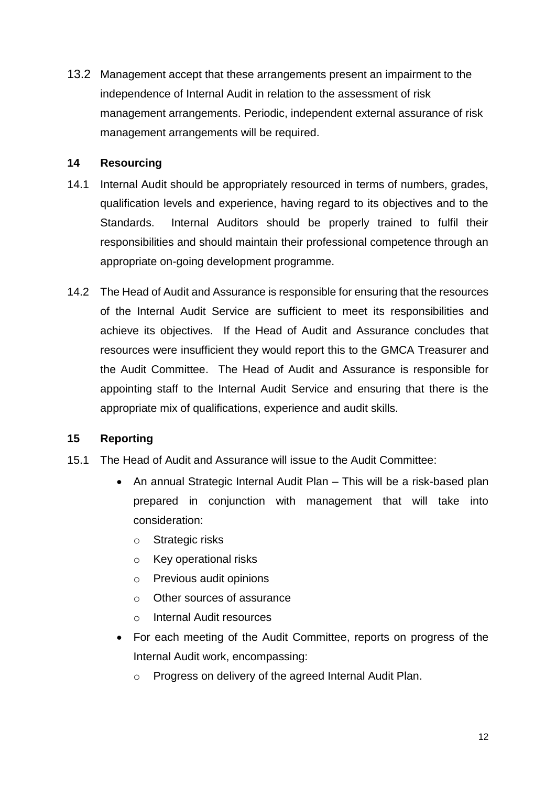13.2 Management accept that these arrangements present an impairment to the independence of Internal Audit in relation to the assessment of risk management arrangements. Periodic, independent external assurance of risk management arrangements will be required.

#### **14 Resourcing**

- 14.1 Internal Audit should be appropriately resourced in terms of numbers, grades, qualification levels and experience, having regard to its objectives and to the Standards. Internal Auditors should be properly trained to fulfil their responsibilities and should maintain their professional competence through an appropriate on-going development programme.
- 14.2 The Head of Audit and Assurance is responsible for ensuring that the resources of the Internal Audit Service are sufficient to meet its responsibilities and achieve its objectives. If the Head of Audit and Assurance concludes that resources were insufficient they would report this to the GMCA Treasurer and the Audit Committee. The Head of Audit and Assurance is responsible for appointing staff to the Internal Audit Service and ensuring that there is the appropriate mix of qualifications, experience and audit skills.

#### **15 Reporting**

- 15.1 The Head of Audit and Assurance will issue to the Audit Committee:
	- An annual Strategic Internal Audit Plan This will be a risk-based plan prepared in conjunction with management that will take into consideration:
		- o Strategic risks
		- o Key operational risks
		- o Previous audit opinions
		- o Other sources of assurance
		- o Internal Audit resources
	- For each meeting of the Audit Committee, reports on progress of the Internal Audit work, encompassing:
		- o Progress on delivery of the agreed Internal Audit Plan.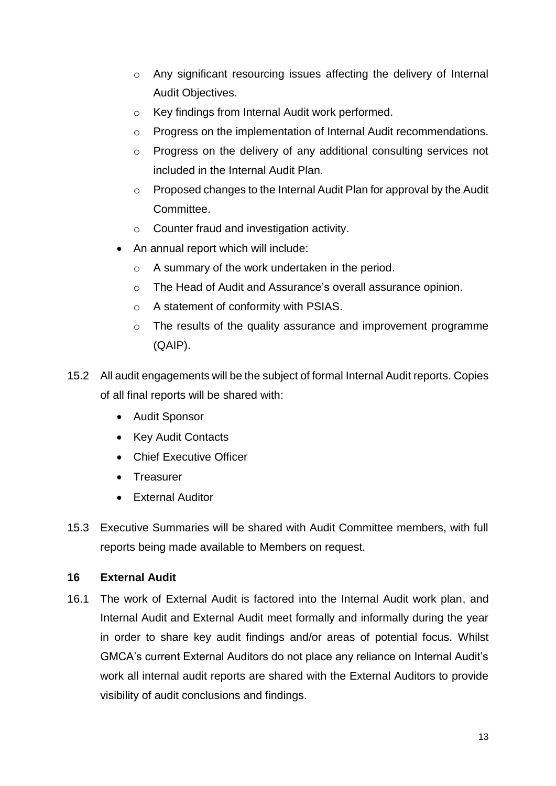- o Any significant resourcing issues affecting the delivery of Internal Audit Objectives.
- o Key findings from Internal Audit work performed.
- o Progress on the implementation of Internal Audit recommendations.
- o Progress on the delivery of any additional consulting services not included in the Internal Audit Plan.
- o Proposed changes to the Internal Audit Plan for approval by the Audit Committee.
- o Counter fraud and investigation activity.
- An annual report which will include:
	- o A summary of the work undertaken in the period.
	- o The Head of Audit and Assurance's overall assurance opinion.
	- o A statement of conformity with PSIAS.
	- o The results of the quality assurance and improvement programme (QAIP).
- 15.2 All audit engagements will be the subject of formal Internal Audit reports. Copies of all final reports will be shared with:
	- Audit Sponsor
	- Key Audit Contacts
	- Chief Executive Officer
	- **•** Treasurer
	- **•** External Auditor
- 15.3 Executive Summaries will be shared with Audit Committee members, with full reports being made available to Members on request.

#### **16 External Audit**

16.1 The work of External Audit is factored into the Internal Audit work plan, and Internal Audit and External Audit meet formally and informally during the year in order to share key audit findings and/or areas of potential focus. Whilst GMCA's current External Auditors do not place any reliance on Internal Audit's work all internal audit reports are shared with the External Auditors to provide visibility of audit conclusions and findings.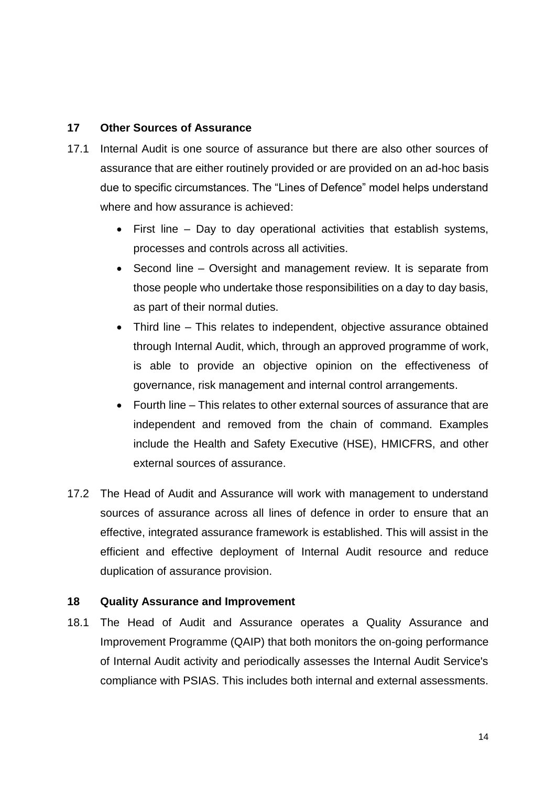#### **17 Other Sources of Assurance**

- 17.1 Internal Audit is one source of assurance but there are also other sources of assurance that are either routinely provided or are provided on an ad-hoc basis due to specific circumstances. The "Lines of Defence" model helps understand where and how assurance is achieved:
	- First line Day to day operational activities that establish systems, processes and controls across all activities.
	- Second line Oversight and management review. It is separate from those people who undertake those responsibilities on a day to day basis, as part of their normal duties.
	- Third line This relates to independent, objective assurance obtained through Internal Audit, which, through an approved programme of work, is able to provide an objective opinion on the effectiveness of governance, risk management and internal control arrangements.
	- Fourth line This relates to other external sources of assurance that are independent and removed from the chain of command. Examples include the Health and Safety Executive (HSE), HMICFRS, and other external sources of assurance.
- 17.2 The Head of Audit and Assurance will work with management to understand sources of assurance across all lines of defence in order to ensure that an effective, integrated assurance framework is established. This will assist in the efficient and effective deployment of Internal Audit resource and reduce duplication of assurance provision.

#### **18 Quality Assurance and Improvement**

18.1 The Head of Audit and Assurance operates a Quality Assurance and Improvement Programme (QAIP) that both monitors the on-going performance of Internal Audit activity and periodically assesses the Internal Audit Service's compliance with PSIAS. This includes both internal and external assessments.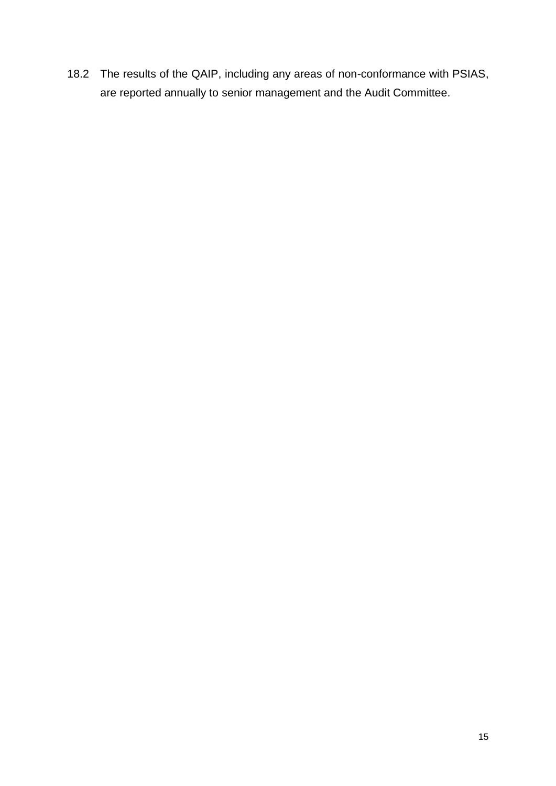18.2 The results of the QAIP, including any areas of non-conformance with PSIAS, are reported annually to senior management and the Audit Committee.